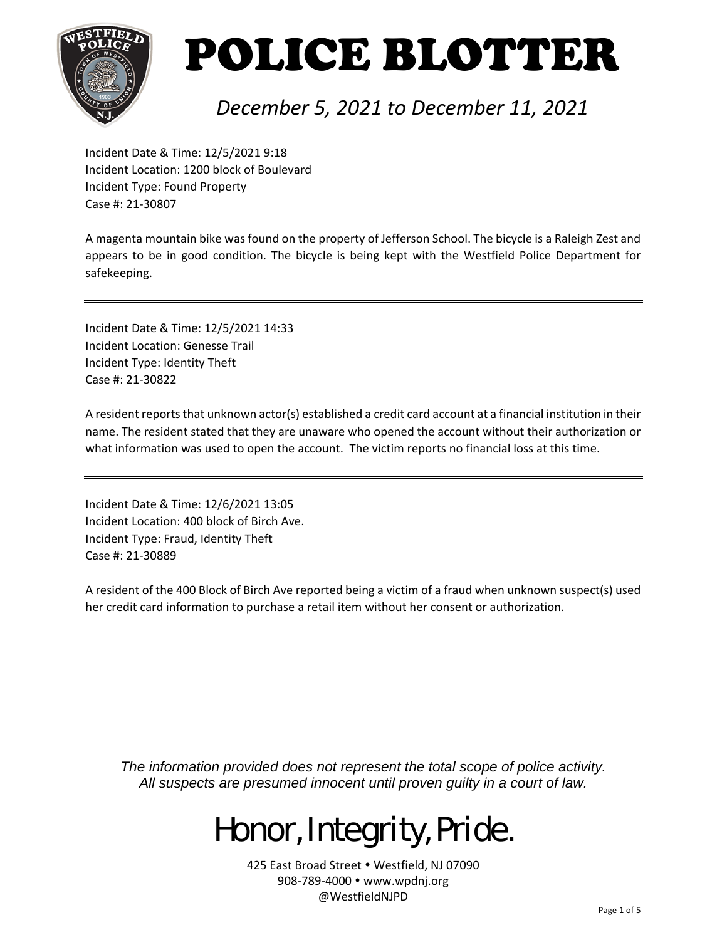

#### *December 5, 2021 to December 11, 2021*

Incident Date & Time: 12/5/2021 9:18 Incident Location: 1200 block of Boulevard Incident Type: Found Property Case #: 21‐30807

A magenta mountain bike was found on the property of Jefferson School. The bicycle is a Raleigh Zest and appears to be in good condition. The bicycle is being kept with the Westfield Police Department for safekeeping.

Incident Date & Time: 12/5/2021 14:33 Incident Location: Genesse Trail Incident Type: Identity Theft Case #: 21‐30822

A resident reports that unknown actor(s) established a credit card account at a financial institution in their name. The resident stated that they are unaware who opened the account without their authorization or what information was used to open the account. The victim reports no financial loss at this time.

Incident Date & Time: 12/6/2021 13:05 Incident Location: 400 block of Birch Ave. Incident Type: Fraud, Identity Theft Case #: 21‐30889

A resident of the 400 Block of Birch Ave reported being a victim of a fraud when unknown suspect(s) used her credit card information to purchase a retail item without her consent or authorization.

*The information provided does not represent the total scope of police activity. All suspects are presumed innocent until proven guilty in a court of law.* 

## Honor, Integrity, Pride.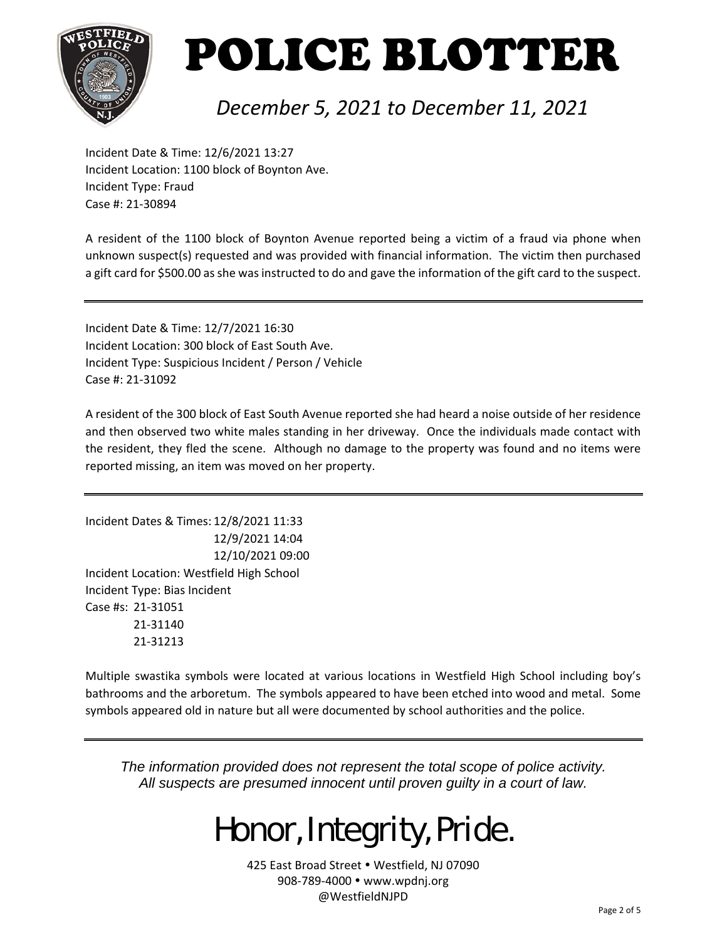

#### *December 5, 2021 to December 11, 2021*

Incident Date & Time: 12/6/2021 13:27 Incident Location: 1100 block of Boynton Ave. Incident Type: Fraud Case #: 21‐30894

A resident of the 1100 block of Boynton Avenue reported being a victim of a fraud via phone when unknown suspect(s) requested and was provided with financial information. The victim then purchased a gift card for \$500.00 as she was instructed to do and gave the information of the gift card to the suspect.

Incident Date & Time: 12/7/2021 16:30 Incident Location: 300 block of East South Ave. Incident Type: Suspicious Incident / Person / Vehicle Case #: 21‐31092

A resident of the 300 block of East South Avenue reported she had heard a noise outside of her residence and then observed two white males standing in her driveway. Once the individuals made contact with the resident, they fled the scene. Although no damage to the property was found and no items were reported missing, an item was moved on her property.

Incident Dates & Times: 12/8/2021 11:33 12/9/2021 14:04 12/10/2021 09:00 Incident Location: Westfield High School Incident Type: Bias Incident Case #s: 21‐31051 21‐31140 21‐31213

Multiple swastika symbols were located at various locations in Westfield High School including boy's bathrooms and the arboretum. The symbols appeared to have been etched into wood and metal. Some symbols appeared old in nature but all were documented by school authorities and the police.

*The information provided does not represent the total scope of police activity. All suspects are presumed innocent until proven guilty in a court of law.* 

### Honor, Integrity, Pride.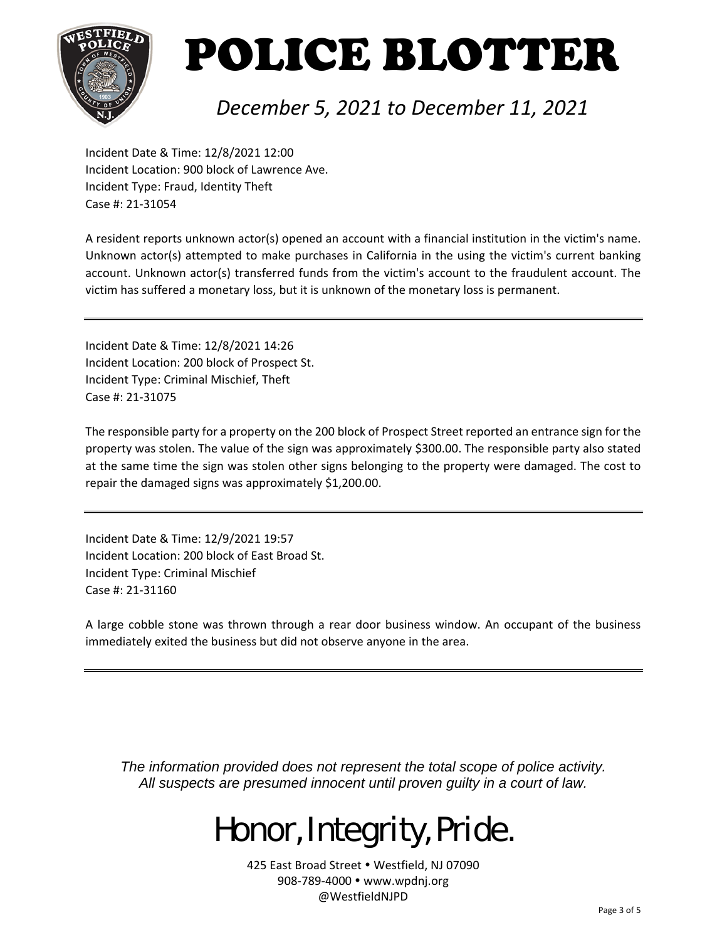

### *December 5, 2021 to December 11, 2021*

Incident Date & Time: 12/8/2021 12:00 Incident Location: 900 block of Lawrence Ave. Incident Type: Fraud, Identity Theft Case #: 21‐31054

A resident reports unknown actor(s) opened an account with a financial institution in the victim's name. Unknown actor(s) attempted to make purchases in California in the using the victim's current banking account. Unknown actor(s) transferred funds from the victim's account to the fraudulent account. The victim has suffered a monetary loss, but it is unknown of the monetary loss is permanent.

Incident Date & Time: 12/8/2021 14:26 Incident Location: 200 block of Prospect St. Incident Type: Criminal Mischief, Theft Case #: 21‐31075

The responsible party for a property on the 200 block of Prospect Street reported an entrance sign for the property was stolen. The value of the sign was approximately \$300.00. The responsible party also stated at the same time the sign was stolen other signs belonging to the property were damaged. The cost to repair the damaged signs was approximately \$1,200.00.

Incident Date & Time: 12/9/2021 19:57 Incident Location: 200 block of East Broad St. Incident Type: Criminal Mischief Case #: 21‐31160

A large cobble stone was thrown through a rear door business window. An occupant of the business immediately exited the business but did not observe anyone in the area.

*The information provided does not represent the total scope of police activity. All suspects are presumed innocent until proven guilty in a court of law.* 

## Honor, Integrity, Pride.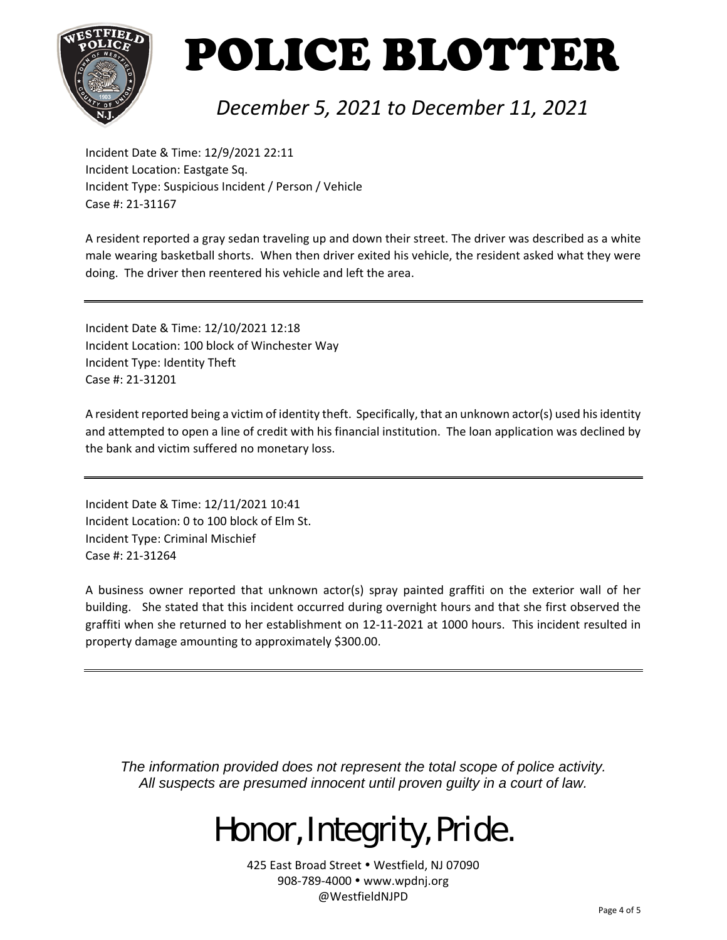

#### *December 5, 2021 to December 11, 2021*

Incident Date & Time: 12/9/2021 22:11 Incident Location: Eastgate Sq. Incident Type: Suspicious Incident / Person / Vehicle Case #: 21‐31167

A resident reported a gray sedan traveling up and down their street. The driver was described as a white male wearing basketball shorts. When then driver exited his vehicle, the resident asked what they were doing. The driver then reentered his vehicle and left the area.

Incident Date & Time: 12/10/2021 12:18 Incident Location: 100 block of Winchester Way Incident Type: Identity Theft Case #: 21‐31201

A resident reported being a victim of identity theft. Specifically, that an unknown actor(s) used his identity and attempted to open a line of credit with his financial institution. The loan application was declined by the bank and victim suffered no monetary loss.

Incident Date & Time: 12/11/2021 10:41 Incident Location: 0 to 100 block of Elm St. Incident Type: Criminal Mischief Case #: 21‐31264

A business owner reported that unknown actor(s) spray painted graffiti on the exterior wall of her building. She stated that this incident occurred during overnight hours and that she first observed the graffiti when she returned to her establishment on 12‐11‐2021 at 1000 hours. This incident resulted in property damage amounting to approximately \$300.00.

*The information provided does not represent the total scope of police activity. All suspects are presumed innocent until proven guilty in a court of law.* 

## Honor, Integrity, Pride.